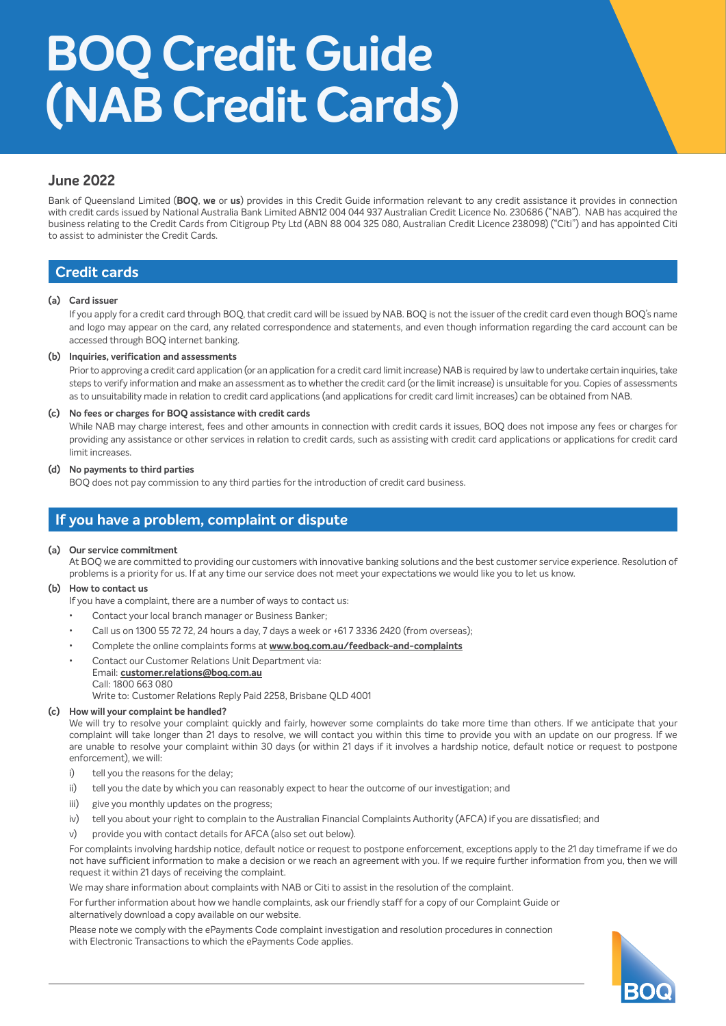# **BOQ Credit Guide (NAB Credit Cards)**

# **June 2022**

Bank of Queensland Limited (**BOQ**, **we** or **us**) provides in this Credit Guide information relevant to any credit assistance it provides in connection with credit cards issued by National Australia Bank Limited ABN12 004 044 937 Australian Credit Licence No. 230686 ("NAB"). NAB has acquired the business relating to the Credit Cards from Citigroup Pty Ltd (ABN 88 004 325 080, Australian Credit Licence 238098) ("Citi") and has appointed Citi to assist to administer the Credit Cards.

# **Credit cards**

## **(a) Card issuer**

 If you apply for a credit card through BOQ, that credit card will be issued by NAB. BOQ is not the issuer of the credit card even though BOQ's name and logo may appear on the card, any related correspondence and statements, and even though information regarding the card account can be accessed through BOQ internet banking.

## **(b) Inquiries, verification and assessments**

 Prior to approving a credit card application (or an application for a credit card limit increase) NAB is required by law to undertake certain inquiries, take steps to verify information and make an assessment as to whether the credit card (or the limit increase) is unsuitable for you. Copies of assessments as to unsuitability made in relation to credit card applications (and applications for credit card limit increases) can be obtained from NAB.

## **(c) No fees or charges for BOQ assistance with credit cards**

 While NAB may charge interest, fees and other amounts in connection with credit cards it issues, BOQ does not impose any fees or charges for providing any assistance or other services in relation to credit cards, such as assisting with credit card applications or applications for credit card limit increases.

## **(d) No payments to third parties**

BOQ does not pay commission to any third parties for the introduction of credit card business.

# **If you have a problem, complaint or dispute**

## **(a) Our service commitment**

 At BOQ we are committed to providing our customers with innovative banking solutions and the best customer service experience. Resolution of problems is a priority for us. If at any time our service does not meet your expectations we would like you to let us know.

## **(b) How to contact us**

If you have a complaint, there are a number of ways to contact us:

- Contact your local branch manager or Business Banker;
- Call us on 1300 55 72 72, 24 hours a day, 7 days a week or +61 7 3336 2420 (from overseas);
- Complete the online complaints forms at **[www.boq.com.au/feedback-and-complaints](http://www.boq.com.au/feedback-and-complaints)**
- Contact our Customer Relations Unit Department via: Email: **[customer.relations@boq.com.au](mailto:customer.relations%40boq.com.au?subject=)** Call: 1800 663 080

Write to: Customer Relations Reply Paid 2258, Brisbane QLD 4001

## **(c) How will your complaint be handled?**

 We will try to resolve your complaint quickly and fairly, however some complaints do take more time than others. If we anticipate that your complaint will take longer than 21 days to resolve, we will contact you within this time to provide you with an update on our progress. If we are unable to resolve your complaint within 30 days (or within 21 days if it involves a hardship notice, default notice or request to postpone enforcement), we will:

- i) tell you the reasons for the delay;
- ii) tell you the date by which you can reasonably expect to hear the outcome of our investigation; and
- iii) give you monthly updates on the progress;
- iv) tell you about your right to complain to the Australian Financial Complaints Authority (AFCA) if you are dissatisfied; and
- v) provide you with contact details for AFCA (also set out below).

 For complaints involving hardship notice, default notice or request to postpone enforcement, exceptions apply to the 21 day timeframe if we do not have sufficient information to make a decision or we reach an agreement with you. If we require further information from you, then we will request it within 21 days of receiving the complaint.

We may share information about complaints with NAB or Citi to assist in the resolution of the complaint.

 For further information about how we handle complaints, ask our friendly staff for a copy of our Complaint Guide or alternatively download a copy available on our website.

 Please note we comply with the ePayments Code complaint investigation and resolution procedures in connection with Electronic Transactions to which the ePayments Code applies.